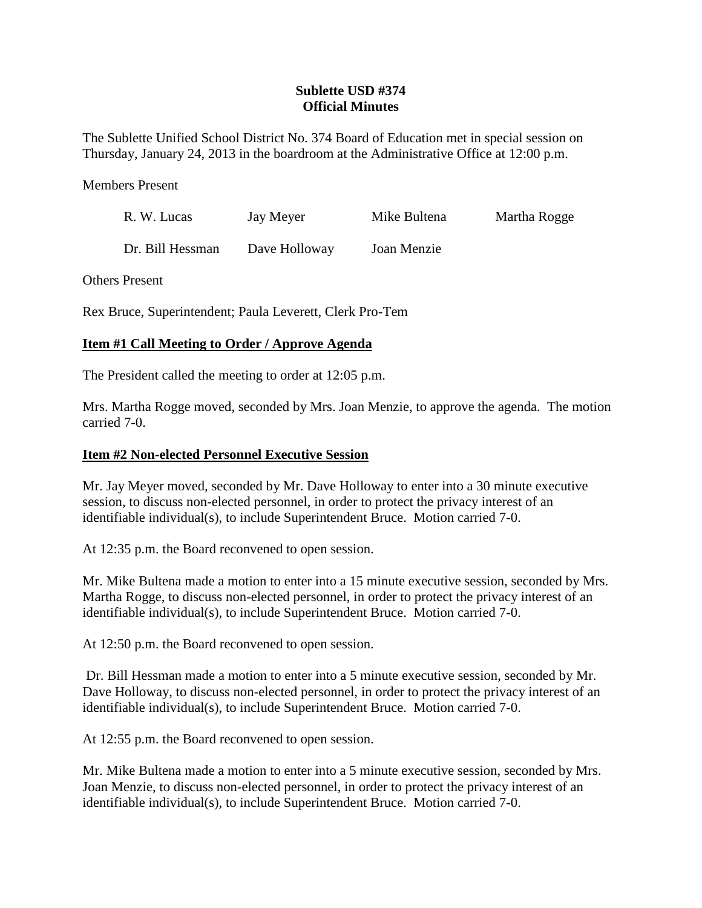## **Sublette USD #374 Official Minutes**

The Sublette Unified School District No. 374 Board of Education met in special session on Thursday, January 24, 2013 in the boardroom at the Administrative Office at 12:00 p.m.

Members Present

| R. W. Lucas      | Jay Meyer     | Mike Bultena | Martha Rogge |
|------------------|---------------|--------------|--------------|
| Dr. Bill Hessman | Dave Holloway | Joan Menzie  |              |

Others Present

Rex Bruce, Superintendent; Paula Leverett, Clerk Pro-Tem

## **Item #1 Call Meeting to Order / Approve Agenda**

The President called the meeting to order at 12:05 p.m.

Mrs. Martha Rogge moved, seconded by Mrs. Joan Menzie, to approve the agenda. The motion carried 7-0.

## **Item #2 Non-elected Personnel Executive Session**

Mr. Jay Meyer moved, seconded by Mr. Dave Holloway to enter into a 30 minute executive session, to discuss non-elected personnel, in order to protect the privacy interest of an identifiable individual(s), to include Superintendent Bruce. Motion carried 7-0.

At 12:35 p.m. the Board reconvened to open session.

Mr. Mike Bultena made a motion to enter into a 15 minute executive session, seconded by Mrs. Martha Rogge, to discuss non-elected personnel, in order to protect the privacy interest of an identifiable individual(s), to include Superintendent Bruce. Motion carried 7-0.

At 12:50 p.m. the Board reconvened to open session.

Dr. Bill Hessman made a motion to enter into a 5 minute executive session, seconded by Mr. Dave Holloway, to discuss non-elected personnel, in order to protect the privacy interest of an identifiable individual(s), to include Superintendent Bruce. Motion carried 7-0.

At 12:55 p.m. the Board reconvened to open session.

Mr. Mike Bultena made a motion to enter into a 5 minute executive session, seconded by Mrs. Joan Menzie, to discuss non-elected personnel, in order to protect the privacy interest of an identifiable individual(s), to include Superintendent Bruce. Motion carried 7-0.